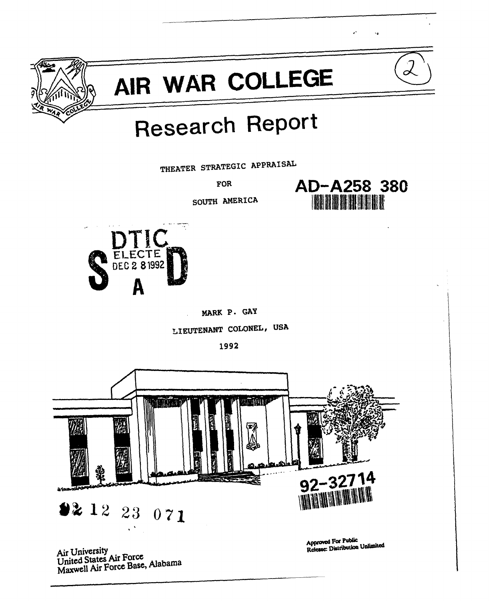

## AIR WAR COLLEGE

## Research Report

THEATER **STRATEGIC** APPRAISAL

**FOR AD-A258 380**<br> **AD-A258 380** 



MARK P. GAY

**LJIEUTENANT COLONEL, USA**

**1992**



Air University<br>United States Air Force<br>United States Air Force<br>Alahama ted States Air Force<br>Unit Force Base, Alaba United State **Force Base**, Alabam

L.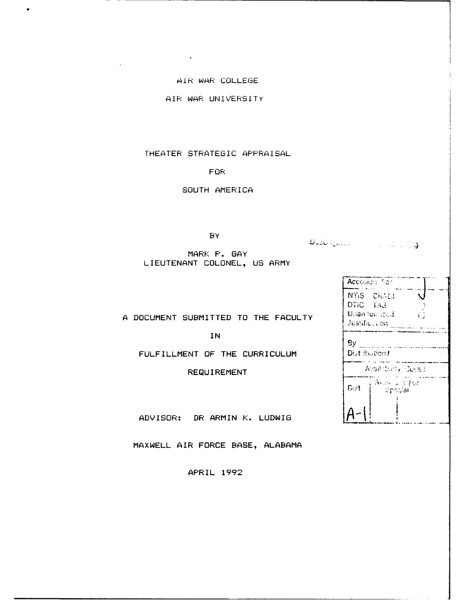AIR WAR COLLEGE

 $\sim$ 

 $\bullet$ 

AIR WAR UNIVERSITY

THEATER STRATEGIC APPRAISAL

FOR

SOUTH AMERICA

BY

DIR GAME CONTRACTOR

MARK P. GAY LIEUTENANT COLONEL, US ARMY

A DOCUMENT SUBMITTED TO THE FACULTY

FULFILLMENT OF THE CURRICULUM

ADVISOR: DR ARMIN K. LUDWIG

MAXWELL AIR FORCE BASE, ALABAMA

APRIL 1992

|                                   | Accesion for                                                                          |
|-----------------------------------|---------------------------------------------------------------------------------------|
| UBMITTED TO THE FACULTY           | NTIS CRASS<br>DTIC TAB<br>$\rightarrow$ 2<br>έî.<br>Unannoir Iocdini<br>Justification |
| <b>IN</b><br>NT OF THE CURRICULUM | By<br>Dist ibution/                                                                   |
| REQUIREMENT                       | Availability Codes                                                                    |
|                                   | Availant $166$<br><b>Dist</b><br>– Sposial                                            |
| DR ARMIN K. LUDWIG                |                                                                                       |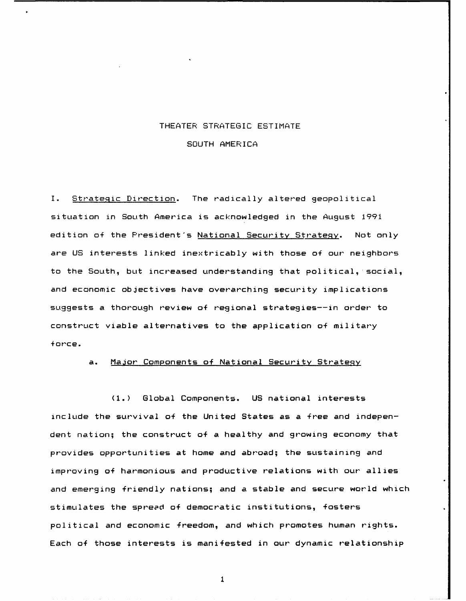## THEATER STRATEGIC ESTIMATE SOUTH AMERICA

I. Strategic Direction. The radically altered geopolitical situation in South America is acknowledged in the August 1991 edition of the President's National Security Strategy. Not only are US interests linked inextricably with those of our neighbors to the South, but increased understanding that political, social, and economic objectives have overarching security implications suggests a thorough review of regional strategies--in order to construct viable alternatives to the application of military force.

a. Major Components of National Security Strategy

**(I.)** Global Components. US national interests include the survival of the United States as a free and independent nation; the construct of a healthy and growing economy that provides opportunities at home and abroad; the sustaining and improving of harmonious and productive relations with our allies and emerging friendly nations; and a stable and secure world which stimulates the spread of democratic institutions, fosters political and economic freedom, and which promotes human rights. Each of those interests is manifested in our dynamic relationship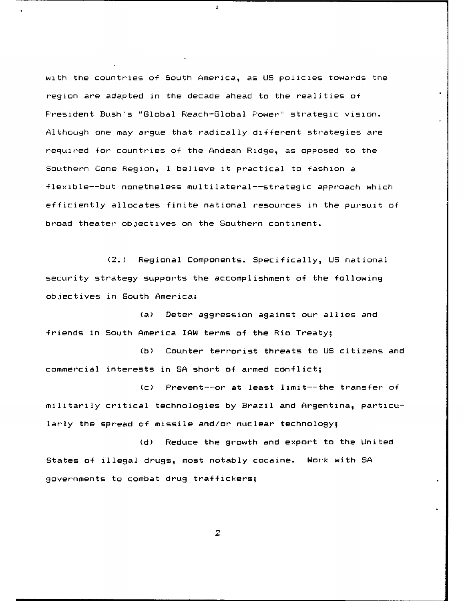with the countries of South America, as US policies towards the  $region$  are adapted in the decade ahead to the realities of President Bush's "Global Reach-Global Power" strategic vision. Although one may argue that radically different strategies are required for countries of the Andean Ridge, as opposed to the Southern Cone Region, I believe it practical to fashion a flexible--but nonetheless multilateral--strategic approach which efficiently allocates finite national resources in the pursuit of broad theater, objectives on the Southern continent.

 $\pmb{\bot}$ 

(2.) Regional Components. Specifically, US national security strategy supports the accomplishment of the following objectives in South America:

(a) Deter aggression against our allies and friends in South America IAW terms of the Rio Treaty;

(b) Counter terrorist threats to US citizens and commercial interests in SA short of armed conflict;

**(c)** Prevent--or at least limit--the transfer of militarily critical technologies by Brazil and Argentina, particularly the spread of missile and/or nuclear technology;

(d) Reduce the growth and export to the United States of illegal drugs, most notably cocaine. Work with SA governments to combat drug traffickers;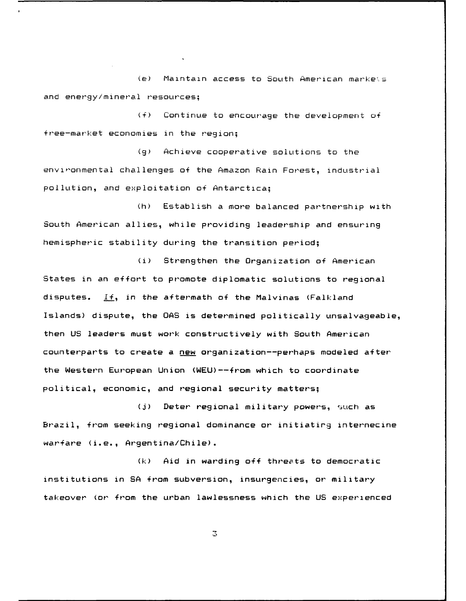(e) Maintain access to South American markes and energy/mineral resources;

**(f)** Continue to encourage the development of free-market economies in the region;

**Qg)** Achieve cooperative solutions to the environmental challenges of the Amazon Rain Forest, industrial pollution, and exploitation of Antarctica;

(h) Establish a more balanced partnership with South American allies, while providing leadership and ensuring hemispheric stability during the transition period;

(i) Strengthen the Organization of American States in an effort to promote diplomatic solutions to regional disputes. If, in the aftermath of the Malvinas (Falkland Islands) dispute, the **OAS** is determined politically unsalvageable, then US leaders must work constructively with South American counterparts to create a new organization--perhaps modeled after the Western European Union (WEU)--from which to coordinate political, economic, and regional security matters;

(j) Deter regional military powers, such as Brazil, from seeking regional dominance or initiatirg internecine warfare (i.e., Argentina/Chile).

 $(k)$  Aid in warding off threats to democratic institutions in SA from subversion, insurgencies, or military takeover (or from the urban lawlessness which the US experienced

 $\mathbb Z$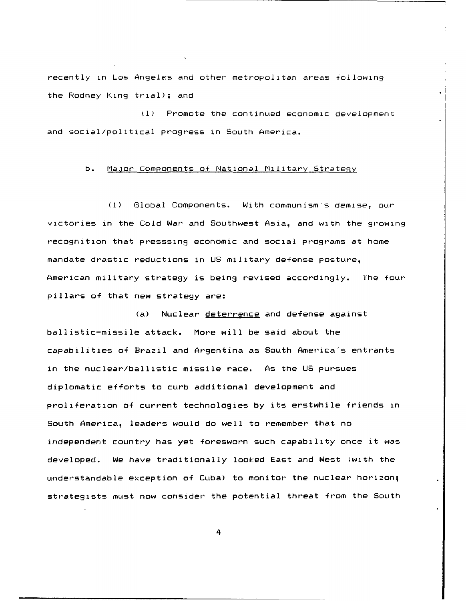recently in Los Angeles and other metropolitan areas following the Rodney King trial); and

**(1)** Promote the continued economic development and social/political progress in South America.

## b. Major Components of National Military Strategy

(1) Global Components. With communism s demise, our victories in the Cold War and Southwest Asia, and with the growing recognition that presssing economic and social programs at home mandate drastic reductions in US military defense posture, American military strategy is being revised accordingly. The four pillars of that new strategy are:

(a) Nuclear deterrence and defense against ballistic-missile attack. More will be said about the capabilities of Brazil and Argentina as South America's entrants in the nuclear/ballistic missile race. As the US pursues diplomatic efforts to curb additional development and proliferation of current technologies by its erstwhile friends in South America, leaders would do well to remember that no independent country has yet foresworn such capability once it was developed. We have traditionally looked East and West (with the understandable exception of Cuba) to monitor the nuclear horizon; strategists must now consider the potential threat from the South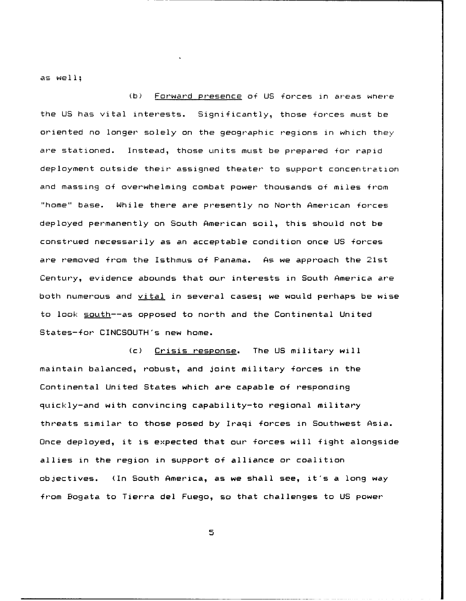as well;

(b) Forward presence of US forces in areas where the US has vital interests. Significantly, those forces must be oriented no longer solely on the geographic regions in which they are stationed. Instead, those units must be prepared for rapid deployment outside their assigned theater to support concentration and massing of overwhelming combat power thousands of miles from "home" base. While there are presently no North American forces deployed permanently on South American soil, this should not be construed necessarily as an acceptable condition once US forces are removed from the Isthmus of Panama. As we approach the 21st Century, evidence abounds that our interests in South America are both numerous and  $yital$  in several cases; we would perhaps be wise to look south--as opposed to north and the Continental United States-for CINCSOUTH's new home.

(c) Crisis response. The US military will maintain balanced, robust, and joint military forces in the Continental United States which are capable of respondin9  $quickly$ -and with convincing capability-to regional military threats similar to those posed by Iraqi forces in Southwest Asia. Once deployed, it is expected that our forces will fight alongside allies in the region in support of alliance or coalition objectives. (In South America, as we shall see, it's a long way from Bogata to Tierra del Fuego, so that challenges to US power-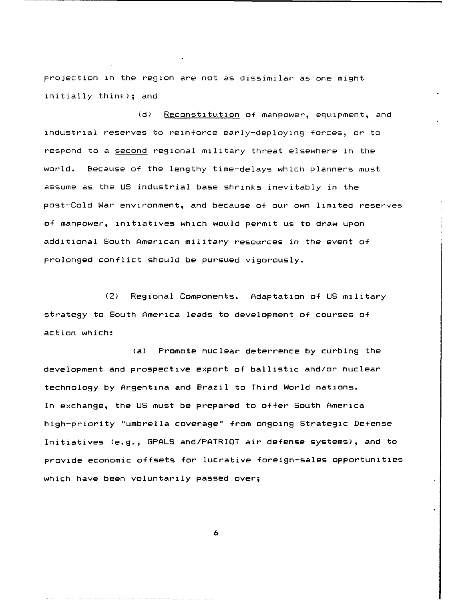projection in the region are not as dissimilar as one might initially think); and

(d) Reconstitution of manpower, equipment, and industrial reserves to reinforce early-deploying forces, or to respond to a second regional military threat elsewhere in the world. Because of the lengthy time-delays which planners must assume as the US industrial base shrinks inevitably in the post-Cold War environment, and because of our own limited reserves of manpower, initiatives which would permit us to draw upon additional South American military resources in the event of prolonged conflict should be pursued vigorously.

(2) Regional Components. Adaptation of US military strategy to South America leads to development of courses of action which:

(a) Promote nuclear deterrence by curbing the development and prospective export of ballistic and/or nuclear technology by Argentina and Brazil to Third World nations. In exchange, the US must be prepared to offer South America high-priority "umbrella coverage" from ongoing Strategic Defense Initiatives (e.g., GPALS and/PATRIOT air, defense systems), and to provide economic offsets for- lucrative foreign-sales opportunities which have been voluntarily passed over;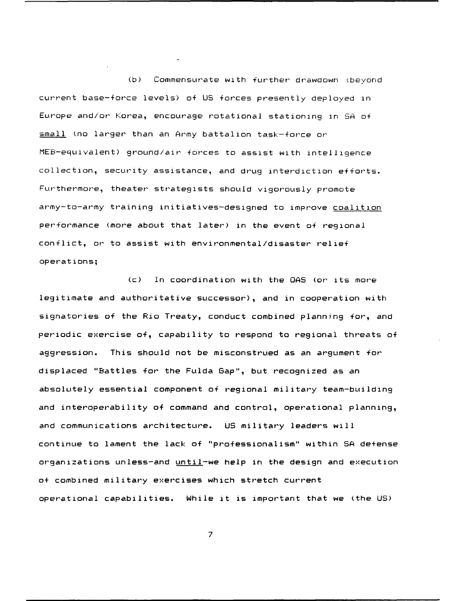(b) Commensurate with further drawdown (beyond current base-force levels) of US forces presently deployed in Europe and/or Korea, encourage rotational stationing in **SA** of small (no larger than an Army battalion task-force or MEB-equivalent) ground/air forces to assist with intelligence collection, security assistance, and drug interdiction efforts. Furthermore, theater strategists should vigorously promote army-to-army training initiatives-designed to improve coalition performance (more about that later) in the event of regional conflict, or to assist with environmental/disaster relief operations;

(c) In coordination with the **OAS** (or its more legitimate and authoritative successor), and in cooperation with signatories of the Rio Treaty, conduct combined planning for, and periodic exercise of, capability to respond to regional threats of aggression. This should not be misconstrued as an argument for displaced "Battles for the Fulda Gap", but recognized as an absolutely essential component of regional military team-building and interoperability of command and control, operational planning, and communications architecture. US military leaders will continue to lament the lack of "professionalism" within **SA** defense organizations unless-and until-we help in the design and execution of combined military exercises which stretch current operational capabilities. While it is important that we (the US)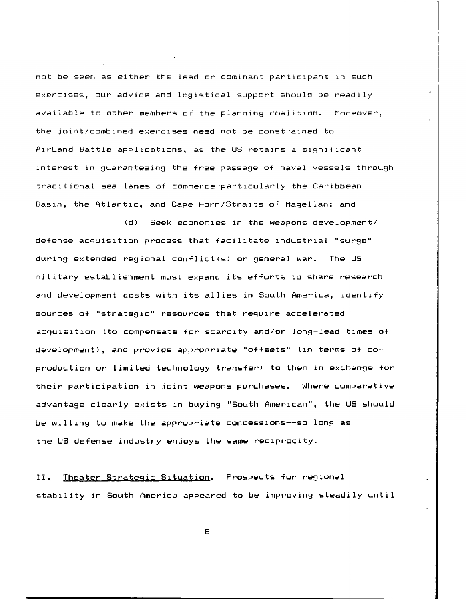not be seen as either the lead or dominant participant in such exercises, our advice and logistical support should be readily available to other members of the planning coalition. Moreover, the joint/combined exercises need not be constrained to AirLand Battle applications, as the US retains a significant interest in guaranteeing the free passage of naval vessels through traditional sea lanes of commerce-particularly the Caribbean Basin, the Atlantic, and Cape Horn/Straits of Magellan; and

(d) Seek economies in the weapons development/ defense acquisition process that facilitate industrial "surge" during extended regional conflict(s) or general war. The US military establishment must expand its efforts to share research and development costs with its allies in South America, identify sources of "strategic" resources that require accelerated acquisition (to compensate for scarcity and/or long-lead times of development), and provide appropriate "offsets" (in terms of coproduction or limited technology transfer) to them in exchange for their participation in joint weapons purchases. Where comparative advantage clearly exists in buying "South American", the US should be willing to make the appropriate concessions--so long as the US defense industry enjoys the same reciprocity.

II. Theater Strategic Situation. Prospects for regional stability in South America appeared to be improving steadily until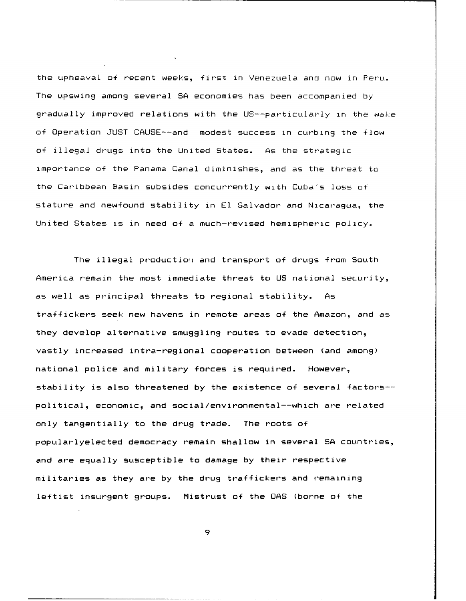the upheaval of recent weeks, first in Venezuela and now in Peru. The upswing among several SA economies has been accompanied **by** gradually improved relations with the US--particularly in the wake of Operation JUST CAUSE--and modest success in curbing the flow of illegal drugs into the United States. As the strateqic importance of the Panama Canal diminishes, and as the threat to the Caribbean Basin subsides concurrently with Cuba's loss of stature and newfound stability in **El** Salvador and Nicaragua, the United States is in need of a much-revised hemispheric policy.

The illegal production and transport of drugs from South America remain the most immediate threat to US national security, as well as principal threats to regional stability. As traffickers seek new havens in remote areas of the Amazon, and as they develop alternative smuggling routes to evade detection, vastly increased intra-regional cooperation between (and among) national police and military forces is required. However, stability is also threatened by the existence of several factors- political, economic, and social/environmental--which are related only tangentially to the drug trade. The roots of popu larlyelected democracy remain shallow in several SA countries, and are equally susceptible to damage by their respective militaries as they are by the drug traffickers and remaining leftist insurgent groups. Mistrust of the **OAS** (borne of the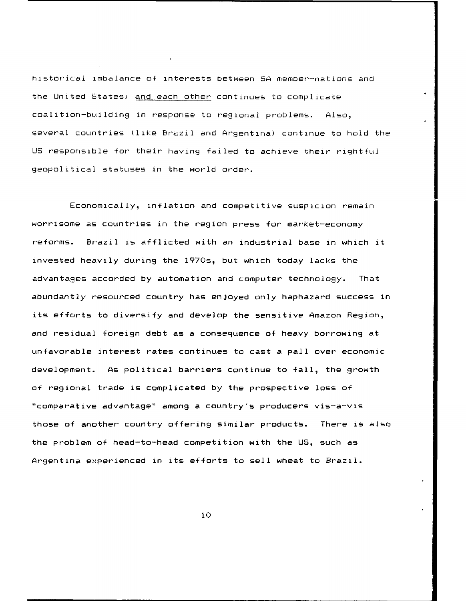historical imbalance of interests between **SA** member-nations and the United States) and each other continues to complicate coalition-building in response to regional problems. **Also,** several countries (like Brazil and Argentina) continue to hold the US responsible +or their having failed to achieve their rightful geopolitical statuses in the world order.

 $\ddot{\phantom{0}}$ 

Economically, inflation and competitive suspicion remain worrisome as countries in the region press for market-economy reforms. Brazil is afflicted with an industrial base in which it invested heavily during the 1970s, but which today lacks the advantages accorded by automation and computer technology. That abundantly resourced country has enjoyed only haphazard success in its efforts to diversify and develop the sensitive Amazon Region, and residual foreign debt as a consequence of heavy borrowing at unfavorable interest rates continues to cast a pall over economic development. As political barriers continue to fall, the growth of regional trade is complicated by the prospective loss of "comparative advantage" among a country's producers vis-a-vis those of another country offering similar products. There is also the problem of head-to-head competition with the US, such as Argentina experienced in its efforts to sell wheat to Brazil.

**1I**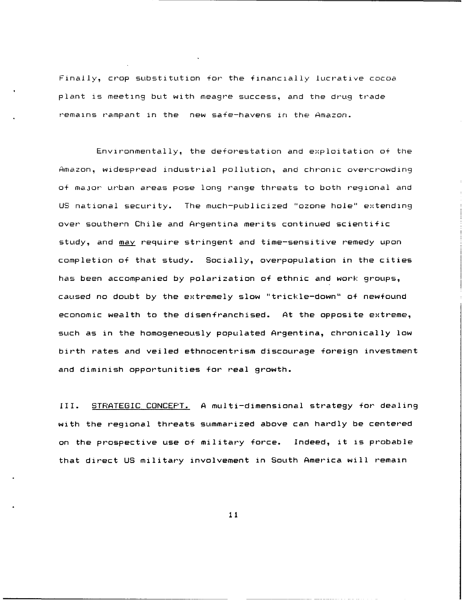Finally, crop substitution +or the financially lucrative cocoa plant is meeting but with meagre success, and the drug trade remains rampant in the new safe-havens in the Amazon.

Environmentally, the deforestation and exploitation of the Amazon, widespread industrial pollution, and chronic overcrowding of major urban areas pose long range threats to both regional and US national security. The much-publicized "ozone hole" extending over southern Chile and Argentina merits continued scientific study, and may require stringent and time-sensitive remedy upon completion of that study. Socially, overpopulation in the cities has been accompanied by polarization of ethnic and work groups, caused no doubt by the extremely slow "trickle-down" of newfound economic wealth to the disenfranchised. At the opposite extreme, such as in the homogeneously populated Argentina, chronically low birth rates and veiled ethnocentrism discourage foreign investment and diminish opportunities for real growth.

III. STRATEGIC CONCEPT. A multi-dimensional strategy for dealing with the regional threats summarized above can hardly be centered on the prospective use of military force. Indeed, it is probable that direct US military involvement in South America will remain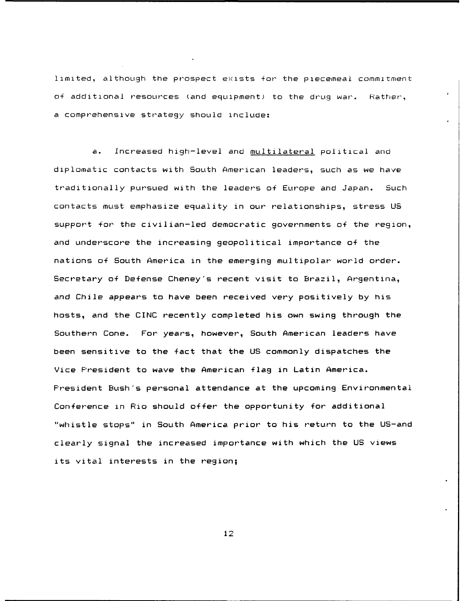limited, although the prospect exists +or the piecemeal commitment of additional resources (and equipment) to the dru9 war. Rather, a comprehensive strategy should include:

a. Increased hiqh-level and multilateral political and diplomatic contacts with South American leaders, such as we have traditionally pursued with the leaders of Europe and Japan. Such contacts must emphasize equality in our relationships, stress US support for the civilian-led democratic governments of the region, and underscore the increasing geopolitical importance of the nations of South America in the emerging multipolar world order. Secretary of Defense Cheney's recent visit to Brazil, Argentina, and Chile appears to have been received very positively by his hosts, and the CINC recently completed his own swing through the Southern Cone. For years, however, South American leaders have been sensitive to the fact that the US commonly dispatches the Vice President to wave the American flag in Latin America. President Bush's personal attendance at the upcoming Environmental Conference in Rio should offer the opportunity for additional "whistle stops" in South America prior to his return to the US-and clearly signal the increased importance with which the US views its vital interests in the region;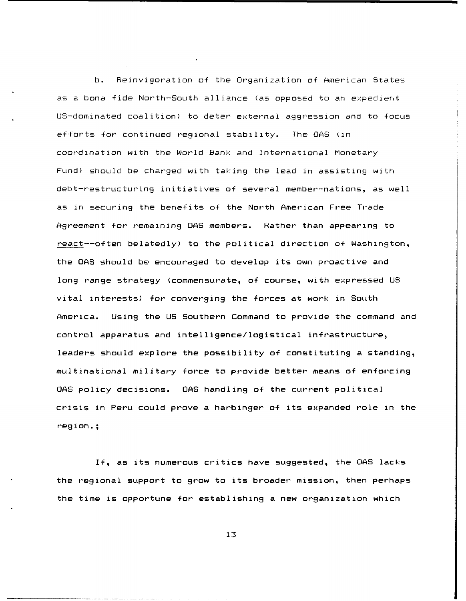b. Reinvigoration of the Organization of American States as a bona fide North-South alliance (as opposed to an expedient US-dominated coalition) to deter external aggression and to focus efforts for continued regional stability. The **OAS** (in coordination with the World Bank and International Monetary Fund) should be charged with taking the lead in assisting with debt-restructuring initiatives of several member-nations, as well as in securing the benefits of the North American Free Trade Agreement for remaining **OAS** members. Rather, than appearing to react--often belatedly) to the political direction of Washington, the **OAS** should be encouraged to develop its own proactive and long range strategy (commensurate, of course, with expressed US vital interests) for converging the forces at work in South America. Using the US Southern Command to provide the command and control apparatus and intelligence/logistical infrastructure, leaders should explore the possibility of constituting a standing, multinational military force to provide better means of enforcing **OAS** policy decisions. **OAS** handling of the current political crisis in Peru could prove a harbinger of its expanded role in the region.;

If, as its numerous critics have suggested, the **OAS** lacks the regional support to grow to its broader mission, then perhaps the time is opportune for establishing a new organization which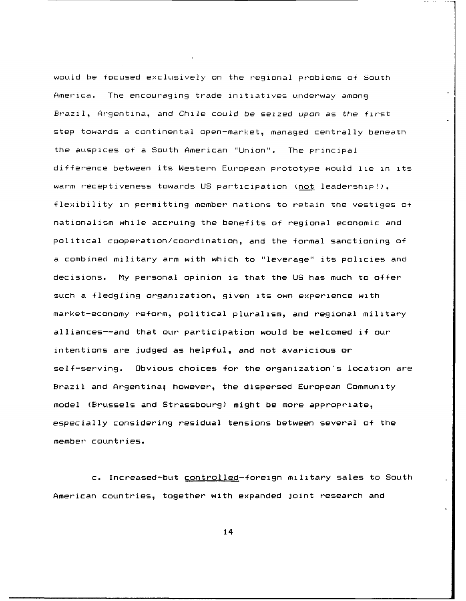would be focused exclusively on the regional problems **ot** South America. The encouraging trade initiatives underway among Brazil, Argentina, and Chile could be seized upon as the first step towards a continental open-market, managed centrally beneath the auspices of a South American "Union". The principal difference between its Western European prototype would lie in its warm receptiveness towards US participation (not leadership!), flexibility in permitting member nations to retain the vestiges of nationalism while accruing the benefits of regional economic and political cooperation/coordination, and the formal sanctioning of a combined military arm with which to "leverage" its policies and decisions. My personal opinion is that the US has much to offer such a fledgling organization, given its own experience with market-economy reform, political pluralism, and regional military alliances--and that our participation would be welcomed if our intentions are judged as helpful, and not avaricious or self-serving. Obvious choices for the organization's location are Brazil and Argentina; however, the dispersed European Community model (Brussels and Strassbourg) might be more appropriate, especially considering residual tensions between several of the member countries.

c. Increased-but controlled-foreign military sales to South American countries, together with expanded joint research and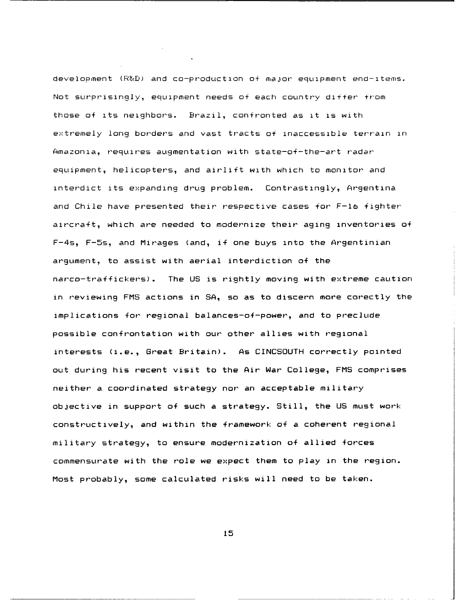development (R&D) and co-production **o+** major equipment end-items. Not surprisingly, equipment needs of each country differ from those of its neighbors. Brazil, confronted as it is with extremely long borders and vast tracts of inaccessible terrain in Amazonia, requires augmentation with state-of-the-art radar equipment, helicopters, and airlift with which to monitor and interdict its expanding drug problem. Contrastingly, Argentina and Chile have presented their respective cases for F-lb fighter aircraft, which are needed to modernize their aging inventories of F-4s, F-5s, and Mirages (and, if one buys into the Argentinian argument, to assist with aerial interdiction of the narco-traffickers). The US is rightly moving with extreme caution in reviewing FMS actions in SA, so as to discern more corectly the implications for regional balances-of-power, and to preclude possible confrontation with our other allies with regional interests (i.e., Great Britain). As CINCSOUTH correctly pointed out during his recent visit to the Air War College, FMS comprises neither a coordinated strategy nor an acceptable military objective in support of such a strategy. Still, the US must work constructively, and within the framework of a coherent regional military strategy, to ensure modernization of allied forces commensurate with the role we expect them to play in the region. Most probably, some calculated risks will need to be taken.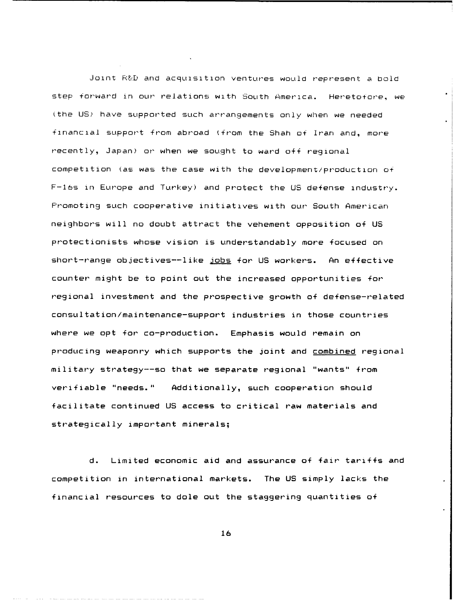Joint R&D and acquisition ventures would represent a bold step forward in our relations with South America. Heretofore, we (the **US)** have supported such arrangements only when we needed financial support from abroad (from the Shah of Iran and, more recently, Japan) or when we sought to ward off regional competition (as was the case with the development/production ot F-lbs in Europe and Turkey) and protect the US defense industry. Promoting such cooperative initiatives with our South American neighbors will no doubt attract the vehement opposition of US protectionists whose vision is understandably more focused on short-range objectives--like jobs for US workers. An effective counter might be to point out the increased opportunities for regional investment and the prospective growth of defense-related consultation/maintenance-support industries in those countries where we opt for co-production. Emphasis would remain on producing weaponry which supports the joint and combined regional military strategy--so that we separate regional "wants" from verifiable "needs." Additionally, such cooperation should facilitate continued US access to critical raw materials and strategically important minerals;

d. Limited economic aid and assurance of fair tariffs and competition in international markets. The US simply lacks the financial resources to dole out the staggering quantities of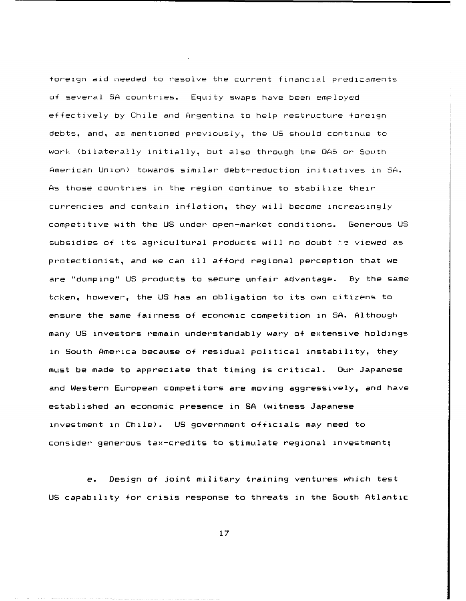+oreiqn aid needed to resolve the current financial predic~aments of several **SA** countries. Equity swaps have been employed effectively by Chile and Argentina to help restructure foreign debts, and, as mentioned previously, the US should continue to work (bilaterally initially, but also through the **OAS** or South American Union) towards similar' debt-reduction initiatives in **SA.** As those countries in the region continue to stabilize their currencies and contain inflation, they will become increasinqly competitive with the US under open-market conditions. Generous US subsidies of its agricultural products will no doubt  $\pm\sigma$  viewed as protectionist, and we can ill afford regional perception that we are "dumping" US products to secure unfair advantage. By the same token, however, the US has an obligation to its own citizens to ensure the same fairness of economic competition in **SA.** Although many US investors remain understandably wary of extensive holdings in South America because of residual political instability, they must be made to appreciate that timing is critical. Our Japanese and Western European competitors are moving aggressively, and have established an economic presence in **SA** (witness Japanese investment in Chile). US government officials may need to consider generous tax-credits to stimulate regional investment;

e. Design of joint military training ventures which test US capability for crisis response to threats in the South Atlantic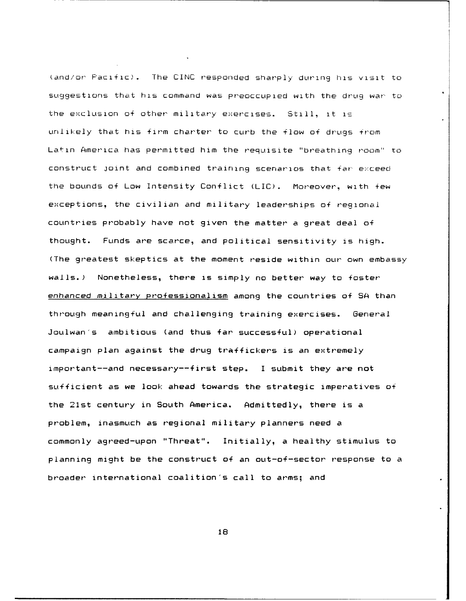kand/or Pacific). The CINC responded sharply during his visit to suggestions that his command was preoccupied with the drug war to the exclusion of other military exercises. Still, it **is** unlikely that his firm charter to curb the flow of drugs from Latin America has permitted him the requisite "breathing room" to construct joint and combined training scenarios that far exceed the bounds of Low Intensity Conflict (LIC). Moreover, with few exceptions, the civilian and military leaderships of regional countries probably have not given the matter a great deal of thought. Funds are scarce, and political sensitivity is high. (The greatest skeptics at the moment reside within our own embassy walls.) Nonetheless, there is simply no better way to foster enhanced military professionalism among the countries of SA than through meaningful and challenging training exercises. General Joulwan's ambitious (and thus far successful) operational campaign plan against the drug traffickers is an extremely important--and necessary--first step. I submit they are not sufficient as we look ahead towards the strategic imperatives of the 21st century in South America. Admittedly, there is a problem, inasmuch as regional military planners need a commonly agreed-upon "Threat". Initially, a healthy stimulus to planning might be the construct of an out-of-sector response to a broader international coalition's call to arms; and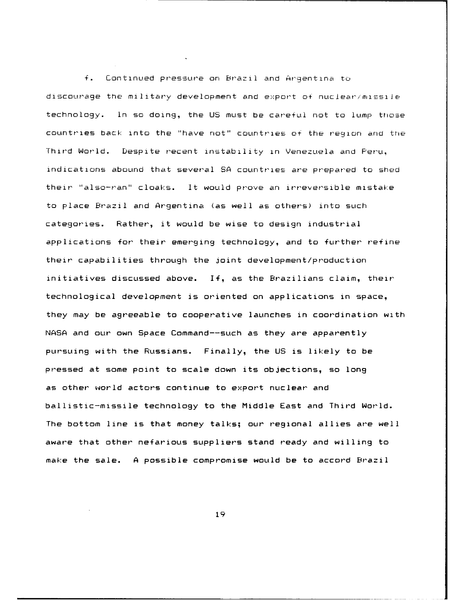**f.** Continued pressure on Brazil and Argentina to discourage the military development and export ot. nuclear/missie technology, in so doing, the US must be caretul not to lump those countries back into the "have not" countries o+ the region and the Third World. Despite recent instability in Venezuela and Peru, indications abound that several **SA** countries are prepared to shed their "also-ran" cloaks. It would prove an irreversible mistake to place Brazil and Argentina (as well as others) into such categories. Rather, it would be wise to design industrial applications for their emerging technology, and to further refine their capabilities through the joint development/production initiatives discussed above. If, as the Brazilians claim, their technological development is oriented on applications in space, they may be agreeable to cooperative launches in coordination with **NASA** and our own Space Command--such as they are apparently pursuing with the Russians. Finally, the US is likely to be pressed at some point to scale down its objections, so long as other world actors continue to export nuclear and ballistic-missile technology to the Middle East and Third World. The bottom line is that money talks; our regional allies are well aware that other nefarious suppliers stand ready and willing to make the sale. **A** possible compromise would be to accord Brazil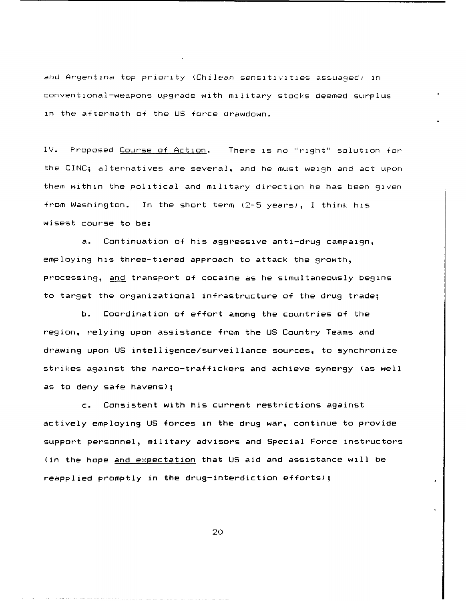and Argentina top priority (Chilean sensitivities assuaged) in conventional-weapons upqrade with military stocks deemed surplus in the aftermath of the US force drawdown.

IV. Proposed Course of Action. There is no "right" solution +or the CINC; alternatives are several, and he must weigh and act upon them within the political and military direction he has been given from Washington. In the short term **(2-5** years), I think his wisest course to be:

a. Continuation of his aggressive anti-drug campaign, employing his three-tiered approach to attack the growth, processing, and transport of cocaine as he simultaneously begins to target the organizational infrastructure of the drug trade;

b. Coordination of effort among the countries of the region, relying upon assistance from the US Country Teams and drawing upon US intelligence/surveillance sources, to synchronize strikes against the narco-traffickers and achieve synergy (as well as to deny safe havens);

c. Consistent with his current restrictions against actively employing US forces in the drug war, continue to provide support personnel, military advisors and Special Force instructors (in the hope and expectation that US aid and assistance will be reapplied promptly in the drug-interdiction efforts);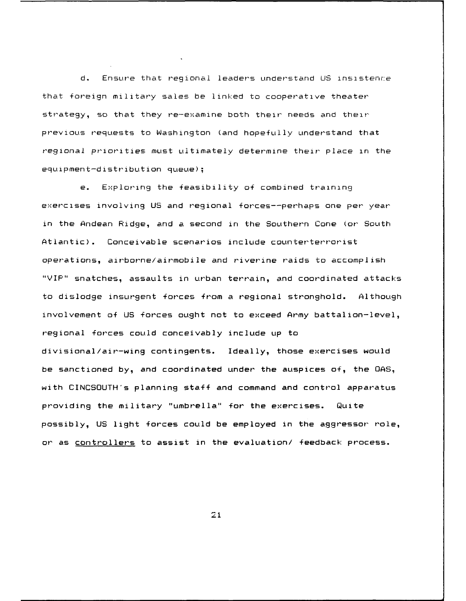d. Ensure that regional leaders understand **US** insistenc:e that foreign military sales be linked to cooperative theater strategy, so that they re-examine both their needs and their previous requests to Washington (and hopefully understand that regional priorities must ultimately determine their place in the equipment-distribution queue);

e. Exploring the feasibility of combined training exercises involving US and regional forces--perhaps one per year in the Andean Ridge, and a second in the Southern Cone (or South Atlantic). Conceivable scenarios include counterterrorist operations, airborne/airmobile and riverine raids to accomplish "VIP" snatches, assaults in urban terrain, and coordinated attacks to dislodge insurgent forces from a regional stronghold. Although involvement of US forces ought not to exceed Army battalion-level, regional forces could conceivably include up to divisional/air-wing contingents. Ideally, those exercises would be sanctioned by, and coordinated under the auspices of, the OAS, with CINCSOUTH's planning staff and command and control apparatus providing the military "umbrella" for the exercises. Quite possibly, US light forces could be employed in the aggressor role, or as controllers to assist in the evaluation/ feedback process.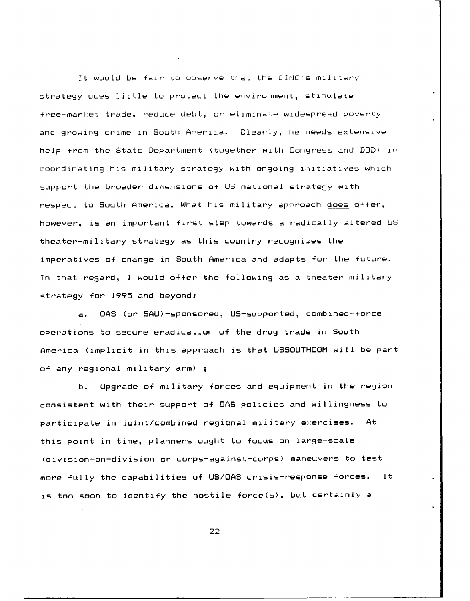It would be fair to observe that the CINC s military strategy does little to protect the environment, stimulate free-market trade, reduce debt, or eliminate widespread poverty and growing crime in South America. Clearly, he needs extensive help from the State Department (toqether with Congress and DOD) in coordinating his military strategy with ongoing initiatives which support the broader dimensions of US national strategy with respect to South America. What his military approach does offer, however, is an important first step towards a radically altered US theater-military strategy as this country recognizes the imperatives of change in South America and adapts for the future. In that regard, I would offer the following as a theater military strategy for 1995 and beyond:

a. **OAS** (or SAU)-sponsored, US-supported, combined-force operations to secure eradication of the drug trade in South America (implicit in this approach is that USSOUTHCOM will be part of any regional military arm) **;**

b. Upgrade of military forces and equipment in the region consistent with their support of **OAS** policies and willingness to participate in joint/combined regional military exercises. At this point in time, planners ought to focus on large-scale (division-on-division or corps-against-corps) maneuvers to test more fully the capabilities of US/OAS crisis-response forces. It is too soon to identify the hostile force(s), but certainly a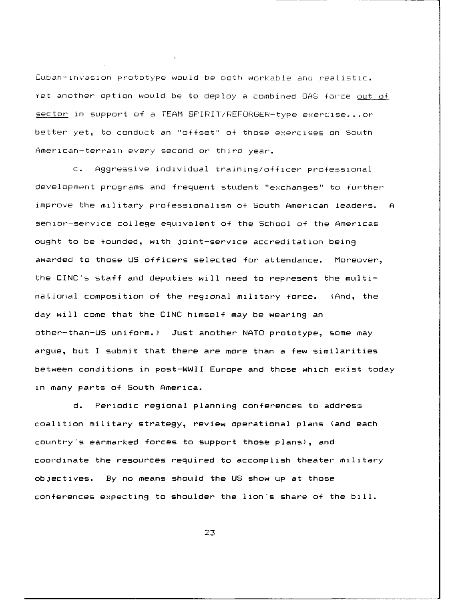Cuban-invasion prototype would be both workable and realistic. Yet another option would be to deploy a combined **OAS** force out of sector in support of a **TEAM** SPIRIT/REFORGER-type exercise... orbetter yet, to conduct an "offset" of those exercises on South American-terrain every second or third year.

c. A9gressive individual training/officer professional development programs and frequent student "exchanges" to further improve the military professionalism of South American leaders. **<sup>A</sup>** senior-service college equivalent of the School of the Americas ought to be founded, with joint-service accreditation being awarded to those US officers selected for attendance. Moreover, the CINC's staff and deputies will need to represent the multinational composition of the regional military force. (And, the day will come that the CINC himself may be wearing an other-than-US uniform.) Just another NATO prototype, some may argue, but I submit that there are more than a few similarities between conditions in post-WWII Europe and those which exist today in many parts of South America.

d. Periodic regional planning conferences to address coalition military strategy, review operational plans (and each country's earmarked forces to support those plans), and coordinate the resources required to accomplish theater military objectives. By no means should the US show up at those conferences expecting to shoulder the lion's share of the bill.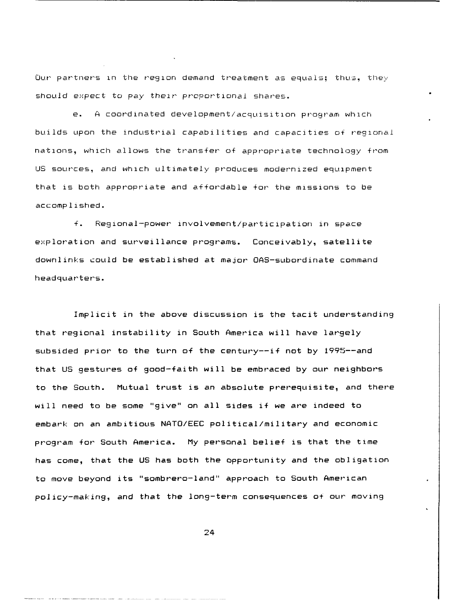Our partners in the region demand treatment as equals; thus, they should expect to pay their proportional shares.

e. **A** coordinated development/accquisition program which builds upon the industrial capabilities and capacities of regional nations, which allows the transfer of appropriate technology from US sources, and which ultimately produces modernized equipment that is both appropriate and affordable for the missions to be accomp i shed.

f. Regional-power involvement/participation in space exploration and surveillance programs. Conceivably, satellite downlinks could be established at major OAS-subordinate command headquarters.

Implicit in the above discussion is the tacit understanding that regional instability in South America will have largely subsided prior to the turn of the century--if not by 1995--and that US gestures of good-faith will be embraced by our neighbors to the South. Mutual trust is an absolute prerequisite, and there will need to be some "give" on all sides if we are indeed to embark on an ambitious NATO/EEC political/military and economic program for South America. My personal belief is that the time has come, that the US has both the opportunity and the obligation to move beyond its "sombrero-land" approach to South American policy-making, and that the long-term consequences o+ our moving